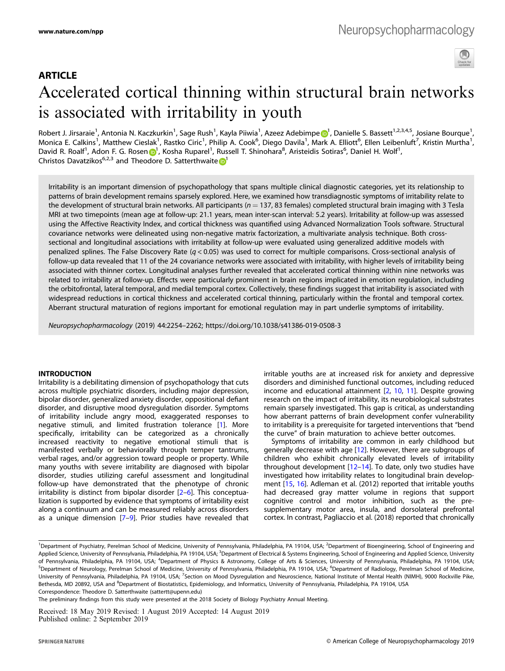

# **ARTICLE** Accelerated cortical thinning within structural brain networks is associated with irritability in youth

Rob[e](http://orcid.org/0000-0001-9049-0135)rt J. Jirsaraie<sup>[1](http://orcid.org/0000-0001-9049-0135)</sup>, Antonia N. Kaczkurkin<sup>1</sup>, Sage Rush<sup>1</sup>, Kayla Piiwia<sup>1</sup>, Azeez Adebimpe D<sup>1</sup>, Danielle S. Bassett<sup>1,2,3,4,5</sup>, Josiane Bourque<sup>1</sup>, Monica E. Calkins<sup>1</sup>, Matthew Cieslak<sup>1</sup>, Rastko Ciric<sup>1</sup>, Philip A. Cook<sup>6</sup>, Diego Davila<sup>1</sup>, Mark A. Elliott<sup>6</sup>, Ellen Leibenluft<sup>7</sup>, Kristin Murtha<sup>1</sup>, David R. Roalf<sup>[1](http://orcid.org/0000-0002-8506-5561)</sup>, Adon F. G. Rosen D<sup>1</sup>, Kosha Ruparel<sup>1</sup>, Russell T. Shinohara<sup>8</sup>, Aristeidis Sotiras<sup>6</sup>, Daniel H. Wolf<sup>1</sup>, Christos Davatzikos<sup>6,2,3</sup> and Th[e](http://orcid.org/0000-0001-7072-9399)odore D. Satterthwaite  $\bullet$ <sup>[1](http://orcid.org/0000-0001-7072-9399)</sup>

Irritability is an important dimension of psychopathology that spans multiple clinical diagnostic categories, yet its relationship to patterns of brain development remains sparsely explored. Here, we examined how transdiagnostic symptoms of irritability relate to the development of structural brain networks. All participants ( $n = 137,83$  females) completed structural brain imaging with 3 Tesla MRI at two timepoints (mean age at follow-up: 21.1 years, mean inter-scan interval: 5.2 years). Irritability at follow-up was assessed using the Affective Reactivity Index, and cortical thickness was quantified using Advanced Normalization Tools software. Structural covariance networks were delineated using non-negative matrix factorization, a multivariate analysis technique. Both crosssectional and longitudinal associations with irritability at follow-up were evaluated using generalized additive models with penalized splines. The False Discovery Rate  $(q < 0.05)$  was used to correct for multiple comparisons. Cross-sectional analysis of follow-up data revealed that 11 of the 24 covariance networks were associated with irritability, with higher levels of irritability being associated with thinner cortex. Longitudinal analyses further revealed that accelerated cortical thinning within nine networks was related to irritability at follow-up. Effects were particularly prominent in brain regions implicated in emotion regulation, including the orbitofrontal, lateral temporal, and medial temporal cortex. Collectively, these findings suggest that irritability is associated with widespread reductions in cortical thickness and accelerated cortical thinning, particularly within the frontal and temporal cortex. Aberrant structural maturation of regions important for emotional regulation may in part underlie symptoms of irritability.

Neuropsychopharmacology (2019) 44:2254–2262; https://doi.org/10.1038/s41386-019-0508-3

## INTRODUCTION

Irritability is a debilitating dimension of psychopathology that cuts across multiple psychiatric disorders, including major depression, bipolar disorder, generalized anxiety disorder, oppositional defiant disorder, and disruptive mood dysregulation disorder. Symptoms of irritability include angry mood, exaggerated responses to negative stimuli, and limited frustration tolerance [[1](#page-6-0)]. More specifically, irritability can be categorized as a chronically increased reactivity to negative emotional stimuli that is manifested verbally or behaviorally through temper tantrums, verbal rages, and/or aggression toward people or property. While many youths with severe irritability are diagnosed with bipolar disorder, studies utilizing careful assessment and longitudinal follow-up have demonstrated that the phenotype of chronic irritability is distinct from bipolar disorder [[2](#page-6-0)–[6](#page-7-0)]. This conceptualization is supported by evidence that symptoms of irritability exist along a continuum and can be measured reliably across disorders as a unique dimension [[7](#page-7-0)-[9](#page-7-0)]. Prior studies have revealed that

irritable youths are at increased risk for anxiety and depressive disorders and diminished functional outcomes, including reduced income and educational attainment [\[2,](#page-6-0) [10](#page-7-0), [11](#page-7-0)]. Despite growing research on the impact of irritability, its neurobiological substrates remain sparsely investigated. This gap is critical, as understanding how aberrant patterns of brain development confer vulnerability to irritability is a prerequisite for targeted interventions that "bend the curve" of brain maturation to achieve better outcomes.

Symptoms of irritability are common in early childhood but generally decrease with age [[12](#page-7-0)]. However, there are subgroups of children who exhibit chronically elevated levels of irritability throughout development [[12](#page-7-0)–[14](#page-7-0)]. To date, only two studies have investigated how irritability relates to longitudinal brain development [\[15,](#page-7-0) [16](#page-7-0)]. Adleman et al. (2012) reported that irritable youths had decreased gray matter volume in regions that support cognitive control and motor inhibition, such as the presupplementary motor area, insula, and dorsolateral prefrontal cortex. In contrast, Pagliaccio et al. (2018) reported that chronically

The preliminary findings from this study were presented at the 2018 Society of Biology Psychiatry Annual Meeting.

<sup>&</sup>lt;sup>1</sup>Department of Psychiatry, Perelman School of Medicine, University of Pennsylvania, Philadelphia, PA 19104, USA; <sup>2</sup>Department of Bioengineering, School of Engineering and Applied Science, University of Pennsylvania, Philadelphia, PA 19104, USA; <sup>3</sup>Department of Electrical & Systems Engineering, School of Engineering and Applied Science, University of Pennsylvania, Philadelphia, PA 19104, USA; <sup>4</sup>Department of Physics & Astronomy, College of Arts & Sciences, University of Pennsylvania, Philadelphia, PA 19104, USA; <sup>5</sup>Department of Neurology, Perelman School of Medicine, University of Pennsylvania, Philadelphia, PA 19104, USA; <sup>6</sup>Department of Radiology, Perelman School of Medicine, University of Pennsylvania, Philadelphia, PA 19104, USA; <sup>7</sup>Section on Mood Dysregulation and Neuroscience, National Institute of Mental Health (NIMH), 9000 Rockville Pike, Bethesda, MD 20892, USA and <sup>8</sup>Department of Biostatistics, Epidemiology, and Informatics, University of Pennsylvania, Philadelphia, PA 19104, USA Correspondence: Theodore D. Satterthwaite ([sattertt@upenn.edu](mailto:sattertt@upenn.edu))

Received: 18 May 2019 Revised: 1 August 2019 Accepted: 14 August 2019 Published online: 2 September 2019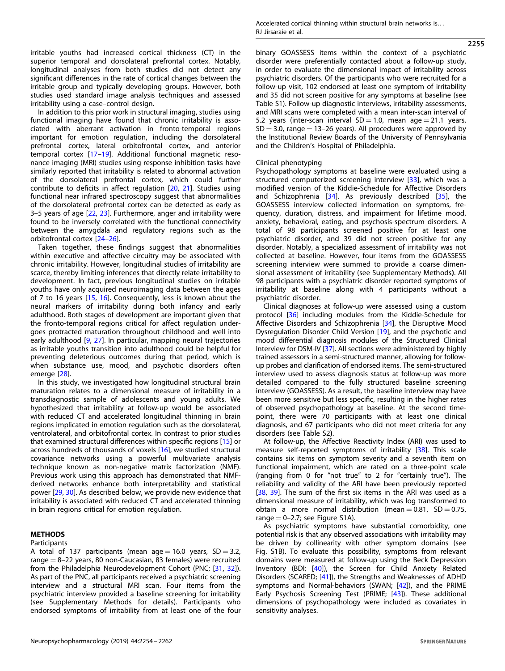irritable youths had increased cortical thickness (CT) in the superior temporal and dorsolateral prefrontal cortex. Notably, longitudinal analyses from both studies did not detect any significant differences in the rate of cortical changes between the irritable group and typically developing groups. However, both studies used standard image analysis techniques and assessed irritability using a case–control design.

In addition to this prior work in structural imaging, studies using functional imaging have found that chronic irritability is associated with aberrant activation in fronto-temporal regions important for emotion regulation, including the dorsolateral prefrontal cortex, lateral orbitofrontal cortex, and anterior temporal cortex [\[17](#page-7-0)–[19\]](#page-7-0). Additional functional magnetic resonance imaging (MRI) studies using response inhibition tasks have similarly reported that irritability is related to abnormal activation of the dorsolateral prefrontal cortex, which could further contribute to deficits in affect regulation [[20,](#page-7-0) [21](#page-7-0)]. Studies using functional near infrared spectroscopy suggest that abnormalities of the dorsolateral prefrontal cortex can be detected as early as 3–5 years of age [\[22](#page-7-0), [23\]](#page-7-0). Furthermore, anger and irritability were found to be inversely correlated with the functional connectivity between the amygdala and regulatory regions such as the orbitofrontal cortex [[24](#page-7-0)–[26\]](#page-7-0).

Taken together, these findings suggest that abnormalities within executive and affective circuitry may be associated with chronic irritability. However, longitudinal studies of irritability are scarce, thereby limiting inferences that directly relate irritability to development. In fact, previous longitudinal studies on irritable youths have only acquired neuroimaging data between the ages of 7 to 16 years [\[15,](#page-7-0) [16\]](#page-7-0). Consequently, less is known about the neural markers of irritability during both infancy and early adulthood. Both stages of development are important given that the fronto-temporal regions critical for affect regulation undergoes protracted maturation throughout childhood and well into early adulthood [[9](#page-7-0), [27](#page-7-0)]. In particular, mapping neural trajectories as irritable youths transition into adulthood could be helpful for preventing deleterious outcomes during that period, which is when substance use, mood, and psychotic disorders often emerge [\[28\]](#page-7-0).

In this study, we investigated how longitudinal structural brain maturation relates to a dimensional measure of irritability in a transdiagnostic sample of adolescents and young adults. We hypothesized that irritability at follow-up would be associated with reduced CT and accelerated longitudinal thinning in brain regions implicated in emotion regulation such as the dorsolateral, ventrolateral, and orbitofrontal cortex. In contrast to prior studies that examined structural differences within specific regions [\[15](#page-7-0)] or across hundreds of thousands of voxels [\[16](#page-7-0)], we studied structural covariance networks using a powerful multivariate analysis technique known as non-negative matrix factorization (NMF). Previous work using this approach has demonstrated that NMFderived networks enhance both interpretability and statistical power [\[29,](#page-7-0) [30\]](#page-7-0). As described below, we provide new evidence that irritability is associated with reduced CT and accelerated thinning in brain regions critical for emotion regulation.

# **METHODS**

## **Participants**

A total of 137 participants (mean age  $= 16.0$  years,  $SD = 3.2$ , range = 8–22 years, 80 non-Caucasian, 83 females) were recruited from the Philadelphia Neurodevelopment Cohort (PNC; [[31,](#page-7-0) [32](#page-7-0)]). As part of the PNC, all participants received a psychiatric screening interview and a structural MRI scan. Four items from the psychiatric interview provided a baseline screening for irritability (see Supplementary Methods for details). Participants who endorsed symptoms of irritability from at least one of the four 2255

binary GOASSESS items within the context of a psychiatric disorder were preferentially contacted about a follow-up study, in order to evaluate the dimensional impact of irritability across psychiatric disorders. Of the participants who were recruited for a follow-up visit, 102 endorsed at least one symptom of irritability and 35 did not screen positive for any symptoms at baseline (see Table S1). Follow-up diagnostic interviews, irritability assessments, and MRI scans were completed with a mean inter-scan interval of 5.2 years (inter-scan interval  $SD = 1.0$ , mean age = 21.1 years,  $SD = 3.0$ , range  $= 13-26$  years). All procedures were approved by the Institutional Review Boards of the University of Pennsylvania and the Children's Hospital of Philadelphia.

## Clinical phenotyping

Psychopathology symptoms at baseline were evaluated using a structured computerized screening interview [\[33](#page-7-0)], which was a modified version of the Kiddie-Schedule for Affective Disorders and Schizophrenia  $[34]$  $[34]$ . As previously described  $[35]$  $[35]$ , the GOASSESS interview collected information on symptoms, frequency, duration, distress, and impairment for lifetime mood, anxiety, behavioral, eating, and psychosis-spectrum disorders. A total of 98 participants screened positive for at least one psychiatric disorder, and 39 did not screen positive for any disorder. Notably, a specialized assessment of irritability was not collected at baseline. However, four items from the GOASSESS screening interview were summed to provide a coarse dimensional assessment of irritability (see Supplementary Methods). All 98 participants with a psychiatric disorder reported symptoms of irritability at baseline along with 4 participants without a psychiatric disorder.

Clinical diagnoses at follow-up were assessed using a custom protocol [[36\]](#page-7-0) including modules from the Kiddie-Schedule for Affective Disorders and Schizophrenia [[34\]](#page-7-0), the Disruptive Mood Dysregulation Disorder Child Version [\[19\]](#page-7-0), and the psychotic and mood differential diagnosis modules of the Structured Clinical Interview for DSM-IV [\[37](#page-7-0)]. All sections were administered by highly trained assessors in a semi-structured manner, allowing for followup probes and clarification of endorsed items. The semi-structured interview used to assess diagnosis status at follow-up was more detailed compared to the fully structured baseline screening interview (GOASSESS). As a result, the baseline interview may have been more sensitive but less specific, resulting in the higher rates of observed psychopathology at baseline. At the second timepoint, there were 70 participants with at least one clinical diagnosis, and 67 participants who did not meet criteria for any disorders (see Table S2).

At follow-up, the Affective Reactivity Index (ARI) was used to measure self-reported symptoms of irritability [[38\]](#page-7-0). This scale contains six items on symptom severity and a seventh item on functional impairment, which are rated on a three-point scale (ranging from 0 for "not true" to 2 for "certainly true"). The reliability and validity of the ARI have been previously reported [\[38,](#page-7-0) [39\]](#page-7-0). The sum of the first six items in the ARI was used as a dimensional measure of irritability, which was log transformed to obtain a more normal distribution (mean  $= 0.81$ , SD  $= 0.75$ , range  $= 0-2.7$ ; see Figure S1A).

As psychiatric symptoms have substantial comorbidity, one potential risk is that any observed associations with irritability may be driven by collinearity with other symptom domains (see Fig. S1B). To evaluate this possibility, symptoms from relevant domains were measured at follow-up using the Beck Depression Inventory (BDI; [\[40\]](#page-7-0)), the Screen for Child Anxiety Related Disorders (SCARED; [\[41\]](#page-7-0)), the Strengths and Weaknesses of ADHD symptoms and Normal-behaviors (SWAN; [\[42\]](#page-7-0)), and the PRIME Early Psychosis Screening Test (PRIME; [[43](#page-7-0)]). These additional dimensions of psychopathology were included as covariates in sensitivity analyses.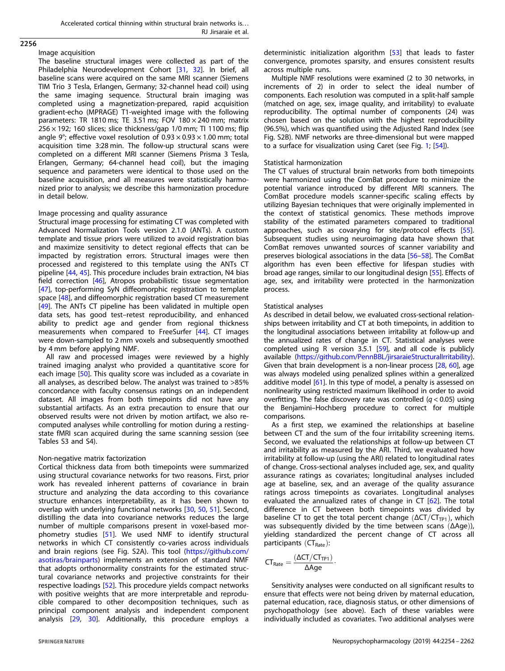## Image acquisition

2256

The baseline structural images were collected as part of the Philadelphia Neurodevelopment Cohort [[31,](#page-7-0) [32\]](#page-7-0). In brief, all baseline scans were acquired on the same MRI scanner (Siemens TIM Trio 3 Tesla, Erlangen, Germany; 32-channel head coil) using the same imaging sequence. Structural brain imaging was completed using a magnetization-prepared, rapid acquisition gradient-echo (MPRAGE) T1-weighted image with the following parameters: TR 1810 ms; TE 3.51 ms; FOV  $180 \times 240$  mm; matrix  $256 \times 192$ ; 160 slices; slice thickness/gap 1/0 mm; TI 1100 ms; flip angle 9°; effective voxel resolution of 0.93  $\times$  0.93  $\times$  1.00 mm; total acquisition time 3:28 min. The follow-up structural scans were completed on a different MRI scanner (Siemens Prisma 3 Tesla, Erlangen, Germany; 64-channel head coil), but the imaging sequence and parameters were identical to those used on the baseline acquisition, and all measures were statistically harmonized prior to analysis; we describe this harmonization procedure in detail below.

#### Image processing and quality assurance

Structural image processing for estimating CT was completed with Advanced Normalization Tools version 2.1.0 (ANTs). A custom template and tissue priors were utilized to avoid registration bias and maximize sensitivity to detect regional effects that can be impacted by registration errors. Structural images were then processed and registered to this template using the ANTs CT pipeline [[44,](#page-7-0) [45](#page-7-0)]. This procedure includes brain extraction, N4 bias field correction [[46\]](#page-7-0), Atropos probabilistic tissue segmentation [[47\]](#page-7-0), top-performing SyN diffeomorphic registration to template space [[48\]](#page-7-0), and diffeomorphic registration based CT measurement [[49\]](#page-7-0). The ANTs CT pipeline has been validated in multiple open data sets, has good test–retest reproducibility, and enhanced ability to predict age and gender from regional thickness measurements when compared to FreeSurfer [[44\]](#page-7-0). CT images were down-sampled to 2 mm voxels and subsequently smoothed by 4 mm before applying NMF.

All raw and processed images were reviewed by a highly trained imaging analyst who provided a quantitative score for each image [\[50\]](#page-7-0). This quality score was included as a covariate in all analyses, as described below. The analyst was trained to >85% concordance with faculty consensus ratings on an independent dataset. All images from both timepoints did not have any substantial artifacts. As an extra precaution to ensure that our observed results were not driven by motion artifact, we also recomputed analyses while controlling for motion during a restingstate fMRI scan acquired during the same scanning session (see Tables S3 and S4).

#### Non-negative matrix factorization

Cortical thickness data from both timepoints were summarized using structural covariance networks for two reasons. First, prior work has revealed inherent patterns of covariance in brain structure and analyzing the data according to this covariance structure enhances interpretability, as it has been shown to overlap with underlying functional networks [[30](#page-7-0), [50,](#page-7-0) [51\]](#page-7-0). Second, distilling the data into covariance networks reduces the large number of multiple comparisons present in voxel-based morphometry studies [[51](#page-7-0)]. We used NMF to identify structural networks in which CT consistently co-varies across individuals and brain regions (see Fig. S2A). This tool ([https://github.com/](https://github.com/asotiras/brainparts) [asotiras/brainparts](https://github.com/asotiras/brainparts)) implements an extension of standard NMF that adopts orthonormality constraints for the estimated structural covariance networks and projective constraints for their respective loadings [[52\]](#page-7-0). This procedure yields compact networks with positive weights that are more interpretable and reproducible compared to other decomposition techniques, such as principal component analysis and independent component analysis [\[29](#page-7-0), [30](#page-7-0)]. Additionally, this procedure employs a

Multiple NMF resolutions were examined (2 to 30 networks, in increments of 2) in order to select the ideal number of components. Each resolution was computed in a split-half sample (matched on age, sex, image quality, and irritability) to evaluate reproducibility. The optimal number of components (24) was chosen based on the solution with the highest reproducibility (96.5%), which was quantified using the Adjusted Rand Index (see Fig. S2B). NMF networks are three-dimensional but were mapped to a surface for visualization using Caret (see Fig. [1](#page-3-0); [\[54\]](#page-7-0)).

#### Statistical harmonization

The CT values of structural brain networks from both timepoints were harmonized using the ComBat procedure to minimize the potential variance introduced by different MRI scanners. The ComBat procedure models scanner-specific scaling effects by utilizing Bayesian techniques that were originally implemented in the context of statistical genomics. These methods improve stability of the estimated parameters compared to traditional approaches, such as covarying for site/protocol effects [[55](#page-7-0)]. Subsequent studies using neuroimaging data have shown that ComBat removes unwanted sources of scanner variability and preserves biological associations in the data [\[56](#page-7-0)–[58](#page-7-0)]. The ComBat algorithm has even been effective for lifespan studies with broad age ranges, similar to our longitudinal design [\[55\]](#page-7-0). Effects of age, sex, and irritability were protected in the harmonization process.

#### Statistical analyses

As described in detail below, we evaluated cross-sectional relationships between irritability and CT at both timepoints, in addition to the longitudinal associations between irritability at follow-up and the annualized rates of change in CT. Statistical analyses were completed using R version 3.5.1 [[59\]](#page-7-0), and all code is publicly available [\(https://github.com/PennBBL/jirsaraieStructuralIrritability](https://github.com/PennBBL/jirsaraieStructuralIrritability)). Given that brain development is a non-linear process [\[28](#page-7-0), [60\]](#page-7-0), age was always modeled using penalized splines within a generalized additive model [\[61](#page-7-0)]. In this type of model, a penalty is assessed on nonlinearity using restricted maximum likelihood in order to avoid overfitting. The false discovery rate was controlled  $(q < 0.05)$  using the Benjamini–Hochberg procedure to correct for multiple comparisons.

As a first step, we examined the relationships at baseline between CT and the sum of the four irritability screening items. Second, we evaluated the relationships at follow-up between CT and irritability as measured by the ARI. Third, we evaluated how irritability at follow-up (using the ARI) related to longitudinal rates of change. Cross-sectional analyses included age, sex, and quality assurance ratings as covariates; longitudinal analyses included age at baseline, sex, and an average of the quality assurance ratings across timepoints as covariates. Longitudinal analyses evaluated the annualized rates of change in CT [[62](#page-7-0)]. The total difference in CT between both timepoints was divided by baseline CT to get the total percent change  $(\Delta CT/CT_{TP1})$ , which was subsequently divided by the time between scans  $(\Delta Age)$ ), yielding standardized the percent change of CT across all participants  $(CT<sub>Rate</sub>)$ :

$$
CT_{Rate}=\frac{(\Delta CT/CT_{TP1})}{\Delta Age} \cdot
$$

Sensitivity analyses were conducted on all significant results to ensure that effects were not being driven by maternal education, paternal education, race, diagnosis status, or other dimensions of psychopathology (see above). Each of these variables were individually included as covariates. Two additional analyses were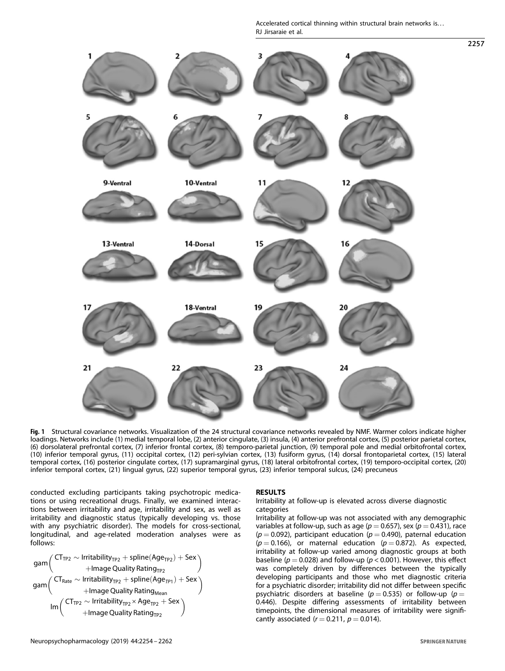Accelerated cortical thinning within structural brain networks is. . . RJ Jirsaraie et al.

<span id="page-3-0"></span>

**Fig. 1** Structural covariance networks. Visualization of the 24 structural covariance networks revealed by NMF. Warmer colors indicate higher<br>loadings. Networks include (1) medial temporal lobe, (2) anterior cingulate, (3 (6) dorsolateral prefrontal cortex, (7) inferior frontal cortex, (8) temporo-parietal junction, (9) temporal pole and medial orbitofrontal cortex, (10) inferior temporal gyrus, (11) occipital cortex, (12) peri-sylvian cortex, (13) fusiform gyrus, (14) dorsal frontoparietal cortex, (15) lateral temporal cortex, (16) posterior cingulate cortex, (17) supramarginal gyrus, (18) lateral orbitofrontal cortex, (19) temporo-occipital cortex, (20) inferior temporal cortex, (21) lingual gyrus, (22) superior temporal gyrus, (23) inferior temporal sulcus, (24) precuneus

conducted excluding participants taking psychotropic medications or using recreational drugs. Finally, we examined interactions between irritability and age, irritability and sex, as well as irritability and diagnostic status (typically developing vs. those with any psychiatric disorder). The models for cross-sectional, longitudinal, and age-related moderation analyses were as follows:

$$
gam \Bigg(\begin{matrix} CT_{TP2} \sim \text{Irritability}_{TP2} + \text{spline}(Age_{TP2}) + \text{Sex } \\ + \text{Image Quality Rating}_{TP2} \\ \text{gam}\Big(\begin{matrix} CT_{Rate} \sim \text{Irritability}_{TP2} + \text{spline}(Age_{TP1}) + \text{Sex } \\ + \text{Image Quality Rating}_{Mean} \end{matrix}\Big) \\ \text{Im}\Big(\begin{matrix} CT_{TP2} \sim \text{Irritability}_{TP2} \times \text{Age}_{TP2} + \text{Sex } \\ + \text{Image Quality Rating}_{TP2} \end{matrix}\Bigg)
$$

## RESULTS

Irritability at follow-up is elevated across diverse diagnostic categories

Irritability at follow-up was not associated with any demographic variables at follow-up, such as age ( $p = 0.657$ ), sex ( $p = 0.431$ ), race  $(p = 0.092)$ , participant education  $(p = 0.490)$ , paternal education  $(p = 0.166)$ , or maternal education  $(p = 0.872)$ . As expected, irritability at follow-up varied among diagnostic groups at both baseline ( $p = 0.028$ ) and follow-up ( $p < 0.001$ ). However, this effect was completely driven by differences between the typically developing participants and those who met diagnostic criteria for a psychiatric disorder; irritability did not differ between specific psychiatric disorders at baseline ( $p = 0.535$ ) or follow-up ( $p = 0.535$ ) 0.446). Despite differing assessments of irritability between timepoints, the dimensional measures of irritability were significantly associated  $(r = 0.211, p = 0.014)$ .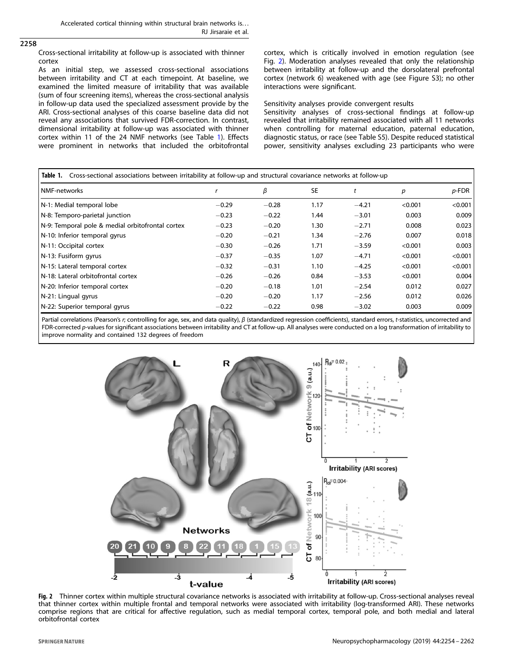2258

Cross-sectional irritability at follow-up is associated with thinner cortex

As an initial step, we assessed cross-sectional associations between irritability and CT at each timepoint. At baseline, we examined the limited measure of irritability that was available (sum of four screening items), whereas the cross-sectional analysis in follow-up data used the specialized assessment provide by the ARI. Cross-sectional analyses of this coarse baseline data did not reveal any associations that survived FDR-correction. In contrast, dimensional irritability at follow-up was associated with thinner cortex within 11 of the 24 NMF networks (see Table 1). Effects were prominent in networks that included the orbitofrontal cortex, which is critically involved in emotion regulation (see Fig. 2). Moderation analyses revealed that only the relationship between irritability at follow-up and the dorsolateral prefrontal cortex (network 6) weakened with age (see Figure S3); no other interactions were significant.

## Sensitivity analyses provide convergent results

Sensitivity analyses of cross-sectional findings at follow-up revealed that irritability remained associated with all 11 networks when controlling for maternal education, paternal education, diagnostic status, or race (see Table S5). Despite reduced statistical power, sensitivity analyses excluding 23 participants who were

| NMF-networks                                     |         | β       | <b>SE</b> |         | p       | $p$ -FDR |
|--------------------------------------------------|---------|---------|-----------|---------|---------|----------|
| N-1: Medial temporal lobe                        | $-0.29$ | $-0.28$ | 1.17      | $-4.21$ | < 0.001 | < 0.001  |
| N-8: Temporo-parietal junction                   | $-0.23$ | $-0.22$ | 1.44      | $-3.01$ | 0.003   | 0.009    |
| N-9: Temporal pole & medial orbitofrontal cortex | $-0.23$ | $-0.20$ | 1.30      | $-2.71$ | 0.008   | 0.023    |
| N-10: Inferior temporal gyrus                    | $-0.20$ | $-0.21$ | 1.34      | $-2.76$ | 0.007   | 0.018    |
| N-11: Occipital cortex                           | $-0.30$ | $-0.26$ | 1.71      | $-3.59$ | < 0.001 | 0.003    |
| N-13: Fusiform gyrus                             | $-0.37$ | $-0.35$ | 1.07      | $-4.71$ | < 0.001 | < 0.001  |
| N-15: Lateral temporal cortex                    | $-0.32$ | $-0.31$ | 1.10      | $-4.25$ | < 0.001 | < 0.001  |
| N-18: Lateral orbitofrontal cortex               | $-0.26$ | $-0.26$ | 0.84      | $-3.53$ | < 0.001 | 0.004    |
| N-20: Inferior temporal cortex                   | $-0.20$ | $-0.18$ | 1.01      | $-2.54$ | 0.012   | 0.027    |
| N-21: Lingual gyrus                              | $-0.20$ | $-0.20$ | 1.17      | $-2.56$ | 0.012   | 0.026    |
| N-22: Superior temporal gyrus                    | $-0.22$ | $-0.22$ | 0.98      | $-3.02$ | 0.003   | 0.009    |

Partial correlations (Pearson's r; controlling for age, sex, and data quality), β (standardized regression coefficients), standard errors, t-statistics, uncorrected and FDR-corrected p-values for significant associations between irritability and CT at follow-up. All analyses were conducted on a log transformation of irritability to improve normality and contained 132 degrees of freedom



Fig. 2 Thinner cortex within multiple structural covariance networks is associated with irritability at follow-up. Cross-sectional analyses reveal that thinner cortex within multiple frontal and temporal networks were associated with irritability (log-transformed ARI). These networks comprise regions that are critical for affective regulation, such as medial temporal cortex, temporal pole, and both medial and lateral orbitofrontal cortex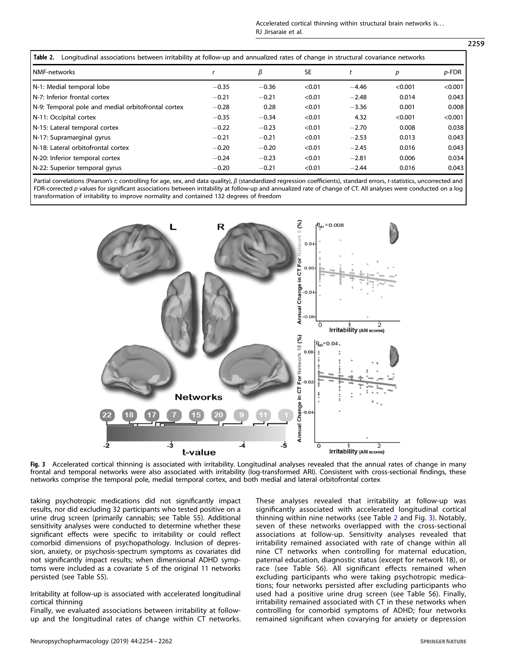Accelerated cortical thinning within structural brain networks is. . . RJ Jirsaraie et al.

| Table 2.<br>Longitudinal associations between irritability at follow-up and annualized rates of change in structural covariance networks |         |         |           |         |         |          |  |  |  |  |
|------------------------------------------------------------------------------------------------------------------------------------------|---------|---------|-----------|---------|---------|----------|--|--|--|--|
| l NMF-networks                                                                                                                           |         | β       | <b>SE</b> |         | р       | $p$ -FDR |  |  |  |  |
| N-1: Medial temporal lobe                                                                                                                | $-0.35$ | $-0.36$ | < 0.01    | $-4.46$ | < 0.001 | < 0.001  |  |  |  |  |
| IN-7: Inferior frontal cortex                                                                                                            | $-0.21$ | $-0.21$ | < 0.01    | $-2.48$ | 0.014   | 0.043    |  |  |  |  |
| N-9: Temporal pole and medial orbitofrontal cortex                                                                                       | $-0.28$ | 0.28    | < 0.01    | $-3.36$ | 0.001   | 0.008    |  |  |  |  |
| N-11: Occipital cortex                                                                                                                   | $-0.35$ | $-0.34$ | < 0.01    | 4.32    | < 0.001 | < 0.001  |  |  |  |  |
| N-15: Lateral temporal cortex                                                                                                            | $-0.22$ | $-0.23$ | < 0.01    | $-2.70$ | 0.008   | 0.038    |  |  |  |  |
| N-17: Supramarginal gyrus                                                                                                                | $-0.21$ | $-0.21$ | < 0.01    | $-2.53$ | 0.013   | 0.043    |  |  |  |  |
| N-18: Lateral orbitofrontal cortex                                                                                                       | $-0.20$ | $-0.20$ | < 0.01    | $-2.45$ | 0.016   | 0.043    |  |  |  |  |
| N-20: Inferior temporal cortex                                                                                                           | $-0.24$ | $-0.23$ | < 0.01    | $-2.81$ | 0.006   | 0.034    |  |  |  |  |
| N-22: Superior temporal gyrus                                                                                                            | $-0.20$ | $-0.21$ | < 0.01    | $-2.44$ | 0.016   | 0.043    |  |  |  |  |

Partial correlations (Pearson's r; controlling for age, sex, and data quality), β (standardized regression coefficients), standard errors, t-statistics, uncorrected and FDR-corrected p values for significant associations between irritability at follow-up and annualized rate of change of CT. All analyses were conducted on a log transformation of irritability to improve normality and contained 132 degrees of freedom



Fig. 3 Accelerated cortical thinning is associated with irritability. Longitudinal analyses revealed that the annual rates of change in many frontal and temporal networks were also associated with irritability (log-transformed ARI). Consistent with cross-sectional findings, these networks comprise the temporal pole, medial temporal cortex, and both medial and lateral orbitofrontal cortex

taking psychotropic medications did not significantly impact results, nor did excluding 32 participants who tested positive on a urine drug screen (primarily cannabis; see Table S5). Additional sensitivity analyses were conducted to determine whether these significant effects were specific to irritability or could reflect comorbid dimensions of psychopathology. Inclusion of depression, anxiety, or psychosis-spectrum symptoms as covariates did not significantly impact results; when dimensional ADHD symptoms were included as a covariate 5 of the original 11 networks persisted (see Table S5).

Irritability at follow-up is associated with accelerated longitudinal cortical thinning

Finally, we evaluated associations between irritability at followup and the longitudinal rates of change within CT networks. These analyses revealed that irritability at follow-up was significantly associated with accelerated longitudinal cortical thinning within nine networks (see Table 2 and Fig. 3). Notably, seven of these networks overlapped with the cross-sectional associations at follow-up. Sensitivity analyses revealed that irritability remained associated with rate of change within all nine CT networks when controlling for maternal education, paternal education, diagnostic status (except for network 18), or race (see Table S6). All significant effects remained when excluding participants who were taking psychotropic medications; four networks persisted after excluding participants who used had a positive urine drug screen (see Table S6). Finally, irritability remained associated with CT in these networks when controlling for comorbid symptoms of ADHD; four networks remained significant when covarying for anxiety or depression

 $N_{\rm c}$  ,  $N_{\rm c}$  ,  $N_{\rm c}$  ,  $N_{\rm c}$  ,  $N_{\rm c}$ 

2259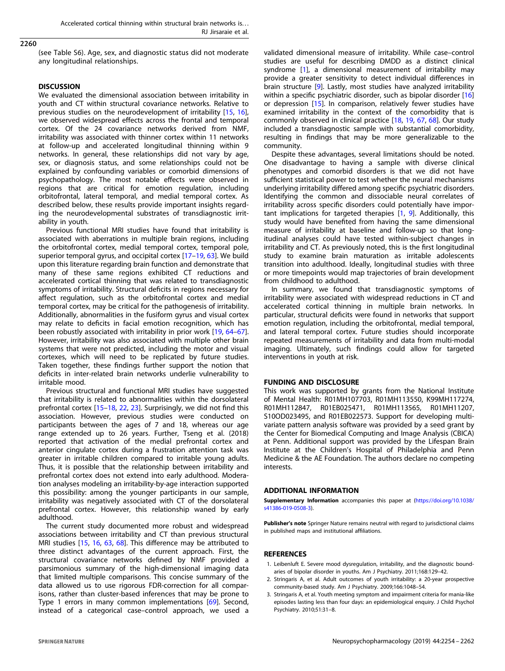## <span id="page-6-0"></span>2260

(see Table S6). Age, sex, and diagnostic status did not moderate any longitudinal relationships.

## **DISCUSSION**

We evaluated the dimensional association between irritability in youth and CT within structural covariance networks. Relative to previous studies on the neurodevelopment of irritability [[15,](#page-7-0) [16](#page-7-0)], we observed widespread effects across the frontal and temporal cortex. Of the 24 covariance networks derived from NMF, irritability was associated with thinner cortex within 11 networks at follow-up and accelerated longitudinal thinning within 9 networks. In general, these relationships did not vary by age, sex, or diagnosis status, and some relationships could not be explained by confounding variables or comorbid dimensions of psychopathology. The most notable effects were observed in regions that are critical for emotion regulation, including orbitofrontal, lateral temporal, and medial temporal cortex. As described below, these results provide important insights regarding the neurodevelopmental substrates of transdiagnostic irritability in youth.

Previous functional MRI studies have found that irritability is associated with aberrations in multiple brain regions, including the orbitofrontal cortex, medial temporal cortex, temporal pole, superior temporal gyrus, and occipital cortex [\[17](#page-7-0)–[19](#page-7-0), [63](#page-7-0)]. We build upon this literature regarding brain function and demonstrate that many of these same regions exhibited CT reductions and accelerated cortical thinning that was related to transdiagnostic symptoms of irritability. Structural deficits in regions necessary for affect regulation, such as the orbitofrontal cortex and medial temporal cortex, may be critical for the pathogenesis of irritability. Additionally, abnormalities in the fusiform gyrus and visual cortex may relate to deficits in facial emotion recognition, which has been robustly associated with irritability in prior work [[19,](#page-7-0) [64](#page-8-0)–[67](#page-8-0)]. However, irritability was also associated with multiple other brain systems that were not predicted, including the motor and visual cortexes, which will need to be replicated by future studies. Taken together, these findings further support the notion that deficits in inter-related brain networks underlie vulnerability to irritable mood.

Previous structural and functional MRI studies have suggested that irritability is related to abnormalities within the dorsolateral prefrontal cortex [\[15](#page-7-0)–[18](#page-7-0), [22,](#page-7-0) [23](#page-7-0)]. Surprisingly, we did not find this association. However, previous studies were conducted on participants between the ages of 7 and 18, whereas our age range extended up to 26 years. Further, Tseng et al. (2018) reported that activation of the medial prefrontal cortex and anterior cingulate cortex during a frustration attention task was greater in irritable children compared to irritable young adults. Thus, it is possible that the relationship between irritability and prefrontal cortex does not extend into early adulthood. Moderation analyses modeling an irritability-by-age interaction supported this possibility: among the younger participants in our sample, irritability was negatively associated with CT of the dorsolateral prefrontal cortex. However, this relationship waned by early adulthood.

The current study documented more robust and widespread associations between irritability and CT than previous structural MRI studies [[15,](#page-7-0) [16](#page-7-0), [63](#page-7-0), [68](#page-8-0)]. This difference may be attributed to three distinct advantages of the current approach. First, the structural covariance networks defined by NMF provided a parsimonious summary of the high-dimensional imaging data that limited multiple comparisons. This concise summary of the data allowed us to use rigorous FDR-correction for all comparisons, rather than cluster-based inferences that may be prone to Type 1 errors in many common implementations [\[69](#page-8-0)]. Second, instead of a categorical case–control approach, we used a

validated dimensional measure of irritability. While case–control studies are useful for describing DMDD as a distinct clinical syndrome [1], a dimensional measurement of irritability may provide a greater sensitivity to detect individual differences in brain structure [[9](#page-7-0)]. Lastly, most studies have analyzed irritability within a specific psychiatric disorder, such as bipolar disorder [[16\]](#page-7-0) or depression [\[15\]](#page-7-0). In comparison, relatively fewer studies have examined irritability in the context of the comorbidity that is commonly observed in clinical practice [[18,](#page-7-0) [19,](#page-7-0) [67](#page-8-0), [68\]](#page-8-0). Our study included a transdiagnostic sample with substantial comorbidity, resulting in findings that may be more generalizable to the community.

Despite these advantages, several limitations should be noted. One disadvantage to having a sample with diverse clinical phenotypes and comorbid disorders is that we did not have sufficient statistical power to test whether the neural mechanisms underlying irritability differed among specific psychiatric disorders. Identifying the common and dissociable neural correlates of irritability across specific disorders could potentially have important implications for targeted therapies [1, [9\]](#page-7-0). Additionally, this study would have benefited from having the same dimensional measure of irritability at baseline and follow-up so that longitudinal analyses could have tested within-subject changes in irritability and CT. As previously noted, this is the first longitudinal study to examine brain maturation as irritable adolescents transition into adulthood. Ideally, longitudinal studies with three or more timepoints would map trajectories of brain development from childhood to adulthood.

In summary, we found that transdiagnostic symptoms of irritability were associated with widespread reductions in CT and accelerated cortical thinning in multiple brain networks. In particular, structural deficits were found in networks that support emotion regulation, including the orbitofrontal, medial temporal, and lateral temporal cortex. Future studies should incorporate repeated measurements of irritability and data from multi-modal imaging. Ultimately, such findings could allow for targeted interventions in youth at risk.

#### FUNDING AND DISCLOSURE

This work was supported by grants from the National Institute of Mental Health: R01MH107703, R01MH113550, K99MH117274, R01MH112847, R01EB025471, R01MH113565, R01MH11207, S10OD023495, and R01EB022573. Support for developing multivariate pattern analysis software was provided by a seed grant by the Center for Biomedical Computing and Image Analysis (CBICA) at Penn. Additional support was provided by the Lifespan Brain Institute at the Children's Hospital of Philadelphia and Penn Medicine & the AE Foundation. The authors declare no competing interests.

#### ADDITIONAL INFORMATION

Supplementary Information accompanies this paper at (https://doi.org/10.1038/ s41386-019-0508-3).

Publisher's note Springer Nature remains neutral with regard to jurisdictional claims in published maps and institutional affiliations.

#### REFERENCES

- 1. Leibenluft E. Severe mood dysregulation, irritability, and the diagnostic boundaries of bipolar disorder in youths. Am J Psychiatry. 2011;168:129–42.
- 2. Stringaris A, et al. Adult outcomes of youth irritability: a 20-year prospective community-based study. Am J Psychiatry. 2009;166:1048–54.
- 3. Stringaris A, et al. Youth meeting symptom and impairment criteria for mania-like episodes lasting less than four days: an epidemiological enquiry. J Child Psychol Psychiatry. 2010;51:31–8.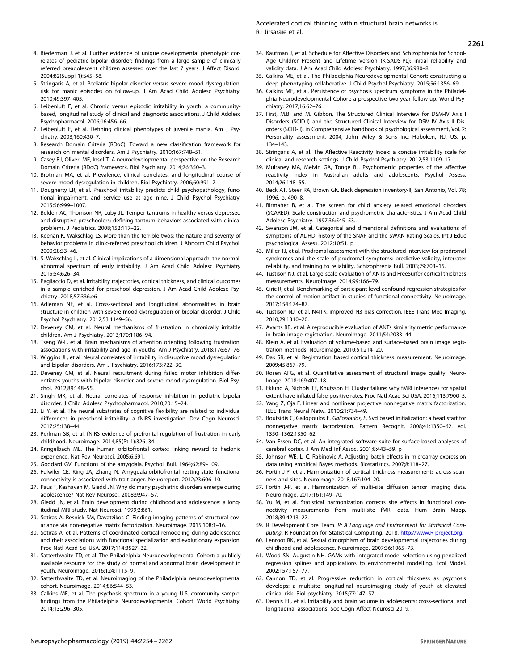# 2261

- <span id="page-7-0"></span>4. Biederman J, et al. Further evidence of unique developmental phenotypic correlates of pediatric bipolar disorder: findings from a large sample of clinically referred preadolescent children assessed over the last 7 years. J Affect Disord. 2004;82(Suppl 1):S45–58.
- 5. Stringaris A, et al. Pediatric bipolar disorder versus severe mood dysregulation: risk for manic episodes on follow-up. J Am Acad Child Adolesc Psychiatry. 2010;49:397–405.
- 6. Leibenluft E, et al. Chronic versus episodic irritability in youth: a communitybased, longitudinal study of clinical and diagnostic associations. J Child Adolesc Psychopharmacol. 2006;16:456–66.
- 7. Leibenluft E, et al. Defining clinical phenotypes of juvenile mania. Am J Psychiatry. 2003;160:430–7.
- 8. Research Domain Criteria (RDoC). Toward a new classification framework for research on mental disorders. Am J Psychiatry. 2010;167:748–51.
- 9. Casey BJ, Oliveri ME, Insel T. A neurodevelopmental perspective on the Research Domain Criteria (RDoC) framework. Biol Psychiatry. 2014;76:350–3.
- 10. Brotman MA, et al. Prevalence, clinical correlates, and longitudinal course of severe mood dysregulation in children. Biol Psychiatry. 2006;60:991–7.
- 11. Dougherty LR, et al. Preschool irritability predicts child psychopathology, functional impairment, and service use at age nine. J Child Psychol Psychiatry. 2015;56:999–1007.
- 12. Belden AC, Thomson NR, Luby JL. Temper tantrums in healthy versus depressed and disruptive preschoolers: defining tantrum behaviors associated with clinical problems. J Pediatrics. 2008;152:117–22.
- 13. Keenan K, Wakschlag LS. More than the terrible twos: the nature and severity of behavior problems in clinic-referred preschool children. J Abnorm Child Psychol. 2000;28:33–46.
- 14. S. Wakschlag L, et al. Clinical implications of a dimensional approach: the normal: abnormal spectrum of early irritability. J Am Acad Child Adolesc Psychiatry 2015;54:626–34.
- 15. Pagliaccio D, et al. Irritability trajectories, cortical thickness, and clinical outcomes in a sample enriched for preschool depression. J Am Acad Child Adolesc Psychiatry. 2018;57:336.e6
- 16. Adleman NE, et al. Cross-sectional and longitudinal abnormalities in brain structure in children with severe mood dysregulation or bipolar disorder. J Child Psychol Psychiatry. 2012;53:1149–56.
- 17. Deveney CM, et al. Neural mechanisms of frustration in chronically irritable children. Am J Psychiatry. 2013;170:1186–94.
- 18. Tseng W-L, et al. Brain mechanisms of attention orienting following frustration: associations with irritability and age in youths. Am J Psychiatry. 2018;176:67–76.
- 19. Wiggins JL, et al. Neural correlates of irritability in disruptive mood dysregulation and bipolar disorders. Am J Psychiatry. 2016;173:722–30.
- 20. Deveney CM, et al. Neural recruitment during failed motor inhibition differentiates youths with bipolar disorder and severe mood dysregulation. Biol Psychol. 2012;89:148–55.
- 21. Singh MK, et al. Neural correlates of response inhibition in pediatric bipolar disorder. J Child Adolesc Psychopharmacol. 2010;20:15–24.
- 22. Li Y, et al. The neural substrates of cognitive flexibility are related to individual differences in preschool irritability: a fNIRS investigation. Dev Cogn Neurosci. 2017;25:138–44.
- 23. Perlman SB, et al. fNIRS evidence of prefrontal regulation of frustration in early childhood. Neuroimage. 2014;85(Pt 1):326–34.
- 24. Kringelbach ML. The human orbitofrontal cortex: linking reward to hedonic experience. Nat Rev Neurosci. 2005;6:691.
- 25. Goddard GV. Functions of the amygdala. Psychol. Bull. 1964;62:89–109.
- 26. Fulwiler CE, King JA, Zhang N. Amygdala-orbitofrontal resting-state functional connectivity is associated with trait anger. Neuroreport. 2012;23:606–10.
- 27. Paus T, Keshavan M, Giedd JN. Why do many psychiatric disorders emerge during adolescence? Nat Rev Neurosci. 2008;9:947–57.
- 28. Giedd JN, et al. Brain development during childhood and adolescence: a longitudinal MRI study. Nat Neurosci. 1999;2:861.
- 29. Sotiras A, Resnick SM, Davatzikos C. Finding imaging patterns of structural covariance via non-negative matrix factorization. Neuroimage. 2015;108:1–16.
- 30. Sotiras A, et al. Patterns of coordinated cortical remodeling during adolescence and their associations with functional specialization and evolutionary expansion. Proc Natl Acad Sci USA. 2017;114:3527–32.
- 31. Satterthwaite TD, et al. The Philadelphia Neurodevelopmental Cohort: a publicly available resource for the study of normal and abnormal brain development in youth. NeuroImage. 2016;124:1115-9.
- 32. Satterthwaite TD, et al. Neuroimaging of the Philadelphia neurodevelopmental cohort. Neuroimage. 2014;86:544–53.
- 33. Calkins ME, et al. The psychosis spectrum in a young U.S. community sample: findings from the Philadelphia Neurodevelopmental Cohort. World Psychiatry. 2014;13:296–305.
- 34. Kaufman J, et al. Schedule for Affective Disorders and Schizophrenia for School-Age Children-Present and Lifetime Version (K-SADS-PL): initial reliability and validity data. J Am Acad Child Adolesc Psychiatry. 1997;36:980–8.
- 35. Calkins ME, et al. The Philadelphia Neurodevelopmental Cohort: constructing a deep phenotyping collaborative. J Child Psychol Psychiatry. 2015;56:1356–69.
- 36. Calkins ME, et al. Persistence of psychosis spectrum symptoms in the Philadelphia Neurodevelopmental Cohort: a prospective two-year follow-up. World Psychiatry. 2017;16:62–76.
- 37. First, M.B. and M. Gibbon, The Structured Clinical Interview for DSM-IV Axis I Disorders (SCID-I) and the Structured Clinical Interview for DSM-IV Axis II Disorders (SCID-II), in Comprehensive handbook of psychological assessment, Vol. 2: Personality assessment. 2004, John Wiley & Sons Inc: Hoboken, NJ, US. p. 134–143.
- 38. Stringaris A, et al. The Affective Reactivity Index: a concise irritability scale for clinical and research settings. J Child Psychol Psychiatry. 2012;53:1109–17.
- 39. Mulraney MA, Melvin GA, Tonge BJ. Psychometric properties of the affective reactivity index in Australian adults and adolescents. Psychol Assess. 2014;26:148–55.
- 40. Beck AT, Steer RA, Brown GK. Beck depression inventory-II, San Antonio, Vol. 78; 1996. p. 490–8.
- 41. Birmaher B, et al. The screen for child anxiety related emotional disorders (SCARED): Scale construction and psychometric characteristics. J Am Acad Child Adolesc Psychiatry. 1997;36:545–53.
- 42. Swanson JM, et al. Categorical and dimensional definitions and evaluations of symptoms of ADHD: history of the SNAP and the SWAN Rating Scales. Int J Educ psychological Assess. 2012;10:51. p
- 43. Miller TJ, et al. Prodromal assessment with the structured interview for prodromal syndromes and the scale of prodromal symptoms: predictive validity, interrater reliability, and training to reliability. Schizophrenia Bull. 2003;29:703–15.
- 44. Tustison NJ, et al. Large-scale evaluation of ANTs and FreeSurfer cortical thickness measurements. Neuroimage. 2014;99:166–79.
- 45. Ciric R, et al. Benchmarking of participant-level confound regression strategies for the control of motion artifact in studies of functional connectivity. NeuroImage. 2017;154:174–87.
- 46. Tustison NJ, et al. N4ITK: improved N3 bias correction. IEEE Trans Med Imaging. 2010;29:1310–20.
- 47. Avants BB, et al. A reproducible evaluation of ANTs similarity metric performance in brain image registration. NeuroImage. 2011;54:2033–44.
- 48. Klein A, et al. Evaluation of volume-based and surface-based brain image registration methods. Neuroimage. 2010;51:214–20.
- 49. Das SR, et al. Registration based cortical thickness measurement. Neuroimage. 2009;45:867–79.
- 50. Rosen AFG, et al. Quantitative assessment of structural image quality. Neuro-Image. 2018;169:407–18.
- 51. Eklund A, Nichols TE, Knutsson H. Cluster failure: why fMRI inferences for spatial extent have inflated false-positive rates. Proc Natl Acad Sci USA. 2016;113:7900–5.
- 52. Yang Z, Oja E. Linear and nonlinear projective nonnegative matrix factorization. IEEE Trans Neural Netw. 2010;21:734–49.
- 53. Boutsidis C, Gallopoulos E. Gallopoulos, E. Svd based initialization: a head start for nonnegative matrix factorization. Pattern Recognit. 2008;41:1350–62. vol. 1350–1362:1350–62
- 54. Van Essen DC, et al. An integrated software suite for surface-based analyses of cerebral cortex. J Am Med Inf Assoc. 2001;8:443–59. p
- 55. Johnson WE, Li C, Rabinovic A. Adjusting batch effects in microarray expression data using empirical Bayes methods. Biostatistics. 2007;8:118–27.
- 56. Fortin J-P, et al. Harmonization of cortical thickness measurements across scanners and sites. Neurolmage. 2018:167:104-20.
- 57. Fortin J-P, et al. Harmonization of multi-site diffusion tensor imaging data. NeuroImage. 2017;161:149–70.
- 58. Yu M, et al. Statistical harmonization corrects site effects in functional connectivity measurements from multi-site fMRI data. Hum Brain Mapp. 2018;39:4213–27.
- 59. R Development Core Team. R: A Language and Environment for Statistical Computing. R Foundation for Statistical Computing; 2018. <http://www.R-project.org>.
- 60. Lenroot RK, et al. Sexual dimorphism of brain developmental trajectories during childhood and adolescence. Neuroimage. 2007;36:1065–73.
- 61. Wood SN, Augustin NH. GAMs with integrated model selection using penalized regression splines and applications to environmental modelling. Ecol Model. 2002;157:157–77.
- 62. Cannon TD, et al. Progressive reduction in cortical thickness as psychosis develops: a multisite longitudinal neuroimaging study of youth at elevated clinical risk. Biol psychiatry. 2015;77:147–57.
- 63. Dennis EL, et al. Irritability and brain volume in adolescents: cross-sectional and longitudinal associations. Soc Cogn Affect Neurosci 2019.